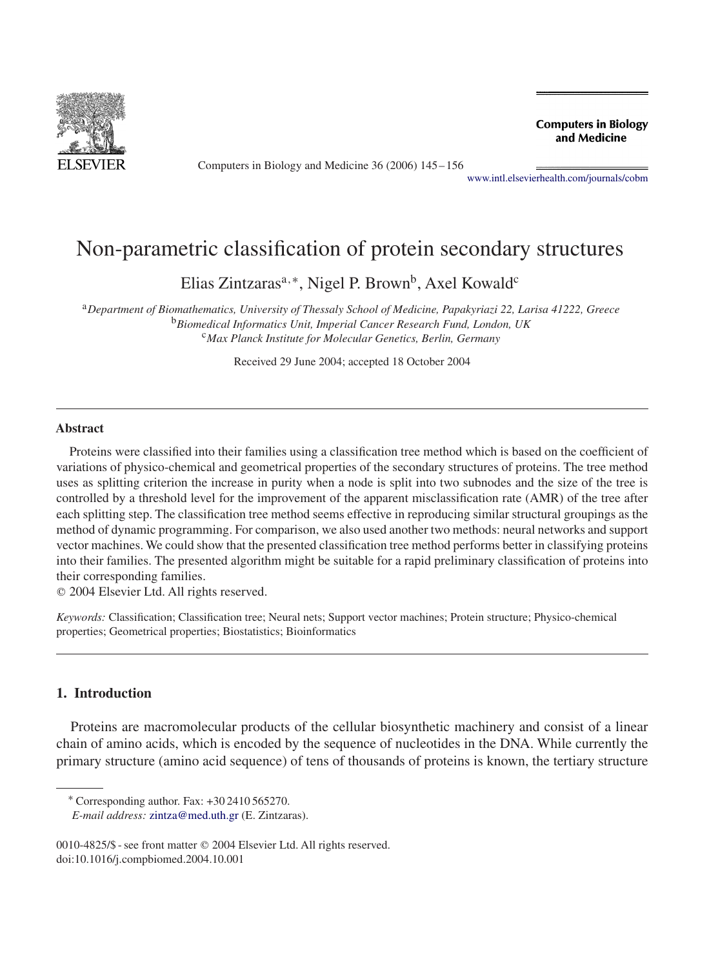<span id="page-0-0"></span>

Computers in Biology and Medicine 36 (2006) 145–156

**Computers in Biology** and Medicine

[www.intl.elsevierhealth.com/journals/cobm](http://www.intl.elsevierhealth.com/journals/cobm)

# Non-parametric classification of protein secondary structures

Elias Zintzaras<sup>a,∗</sup>, Nigel P. Brown<sup>b</sup>, Axel Kowald<sup>c</sup>

<sup>a</sup>*Department of Biomathematics, University of Thessaly School of Medicine, Papakyriazi 22, Larisa 41222, Greece* <sup>b</sup>*Biomedical Informatics Unit, Imperial Cancer Research Fund, London, UK* <sup>c</sup>*Max Planck Institute for Molecular Genetics, Berlin, Germany*

Received 29 June 2004; accepted 18 October 2004

### **Abstract**

Proteins were classified into their families using a classification tree method which is based on the coefficient of variations of physico-chemical and geometrical properties of the secondary structures of proteins. The tree method uses as splitting criterion the increase in purity when a node is split into two subnodes and the size of the tree is controlled by a threshold level for the improvement of the apparent misclassification rate (AMR) of the tree after each splitting step. The classification tree method seems effective in reproducing similar structural groupings as the method of dynamic programming. For comparison, we also used another two methods: neural networks and support vector machines. We could show that the presented classification tree method performs better in classifying proteins into their families. The presented algorithm might be suitable for a rapid preliminary classification of proteins into their corresponding families.

2004 Elsevier Ltd. All rights reserved.

*Keywords:* Classification; Classification tree; Neural nets; Support vector machines; Protein structure; Physico-chemical properties; Geometrical properties; Biostatistics; Bioinformatics

# **1. Introduction**

Proteins are macromolecular products of the cellular biosynthetic machinery and consist of a linear chain of amino acids, which is encoded by the sequence of nucleotides in the DNA. While currently the primary structure (amino acid sequence) of tens of thousands of proteins is known, the tertiary structure

<sup>∗</sup> Corresponding author. Fax: +30 2410 565270.

*E-mail address:* [zintza@med.uth.gr](mailto:zintza@med.uth.gr) (E. Zintzaras).

<sup>0010-4825/\$ -</sup> see front matter © 2004 Elsevier Ltd. All rights reserved. doi:10.1016/j.compbiomed.2004.10.001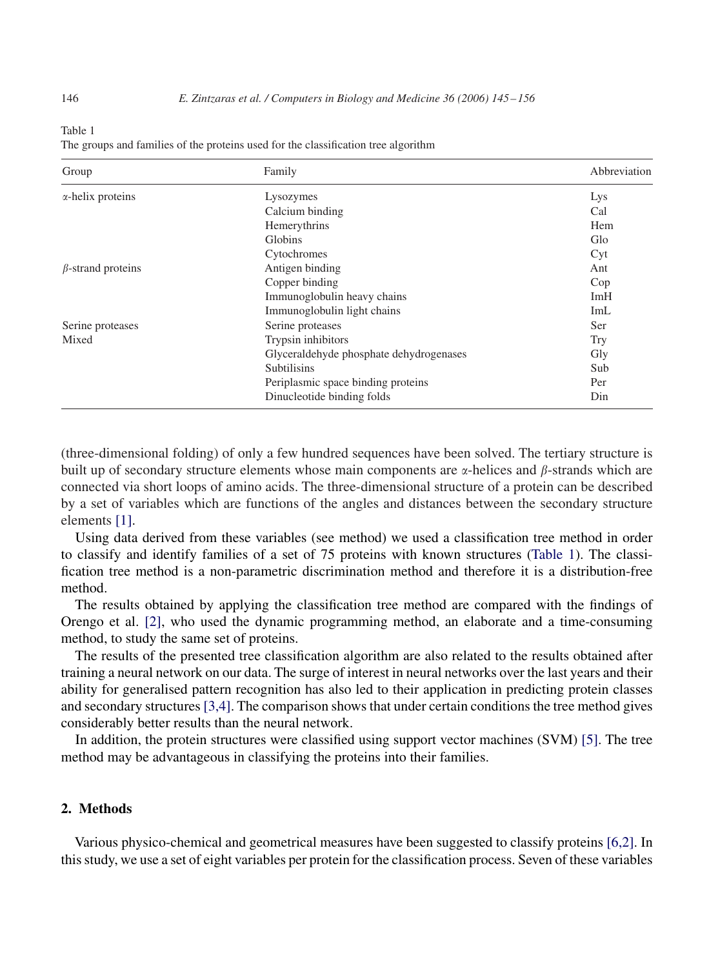<span id="page-1-0"></span>

Table 1

|  | The groups and families of the proteins used for the classification tree algorithm |  |
|--|------------------------------------------------------------------------------------|--|
|  |                                                                                    |  |

| Group                    | Family                                  | Abbreviation |
|--------------------------|-----------------------------------------|--------------|
| $\alpha$ -helix proteins | Lysozymes                               | Lys          |
|                          | Calcium binding                         | Cal          |
|                          | Hemerythrins                            | Hem          |
|                          | Globins                                 | Glo          |
|                          | Cytochromes                             | Cyt          |
| $\beta$ -strand proteins | Antigen binding                         | Ant          |
|                          | Copper binding                          | Cop          |
|                          | Immunoglobulin heavy chains             | ImH          |
|                          | Immunoglobulin light chains             | ImL          |
| Serine proteases         | Serine proteases                        | Ser          |
| Mixed                    | Trypsin inhibitors                      | <b>Try</b>   |
|                          | Glyceraldehyde phosphate dehydrogenases | Gly          |
|                          | <b>Subtilisins</b>                      | Sub          |
|                          | Periplasmic space binding proteins      | Per          |
|                          | Dinucleotide binding folds              | Din          |

(three-dimensional folding) of only a few hundred sequences have been solved. The tertiary structure is built up of secondary structure elements whose main components are  $\alpha$ -helices and  $\beta$ -strands which are connected via short loops of amino acids. The three-dimensional structure of a protein can be described by a set of variables which are functions of the angles and distances between the secondary structure elements [\[1\].](#page-10-0)

Using data derived from these variables (see method) we used a classification tree method in order to classify and identify families of a set of 75 proteins with known structures (Table 1). The classification tree method is a non-parametric discrimination method and therefore it is a distribution-free method.

The results obtained by applying the classification tree method are compared with the findings of Orengo et al. [\[2\],](#page-10-0) who used the dynamic programming method, an elaborate and a time-consuming method, to study the same set of proteins.

The results of the presented tree classification algorithm are also related to the results obtained after training a neural network on our data. The surge of interest in neural networks over the last years and their ability for generalised pattern recognition has also led to their application in predicting protein classes and secondary structures [3,4]. The comparison shows that under certain conditions the tree method gives considerably better results than the neural network.

In addition, the protein structures were classified using support vector machines (SVM) [\[5\].](#page-10-0) The tree method may be advantageous in classifying the proteins into their families.

# **2. Methods**

Various physico-chemical and geometrical measures have been suggested to classify proteins [6,2]. In this study, we use a set of eight variables per protein for the classification process. Seven of these variables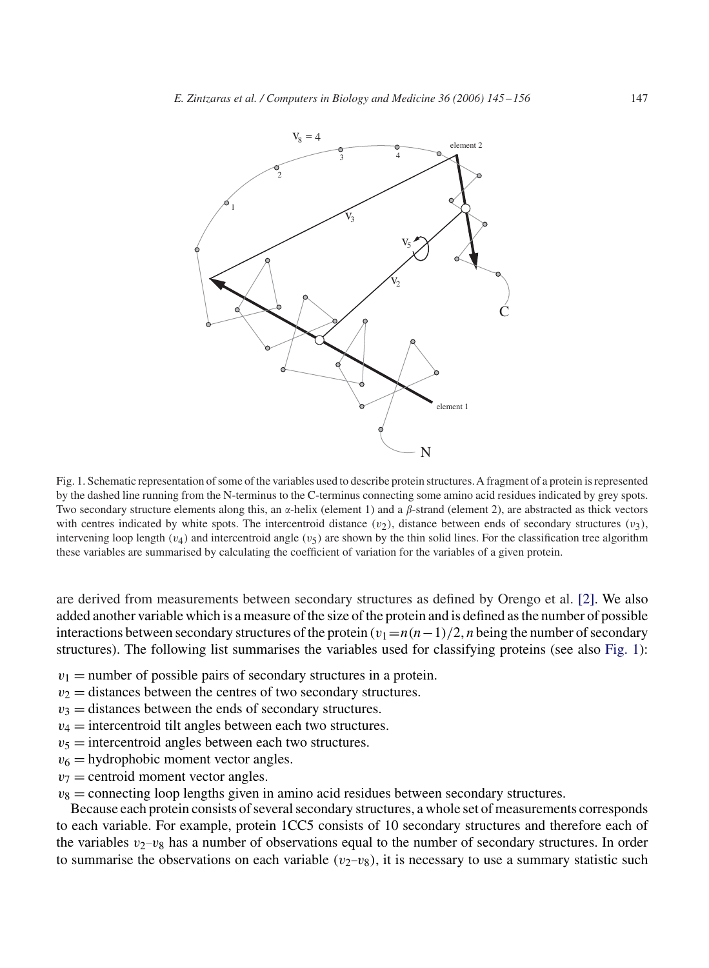

Fig. 1. Schematic representation of some of the variables used to describe protein structures.A fragment of a protein is represented by the dashed line running from the N-terminus to the C-terminus connecting some amino acid residues indicated by grey spots. Two secondary structure elements along this, an  $\alpha$ -helix (element 1) and a  $\beta$ -strand (element 2), are abstracted as thick vectors with centres indicated by white spots. The intercentroid distance  $(v_2)$ , distance between ends of secondary structures  $(v_3)$ , intervening loop length ( $v_4$ ) and intercentroid angle ( $v_5$ ) are shown by the thin solid lines. For the classification tree algorithm these variables are summarised by calculating the coefficient of variation for the variables of a given protein.

are derived from measurements between secondary structures as defined by Orengo et al. [\[2\].](#page-10-0) We also added another variable which is a measure of the size of the protein and is defined as the number of possible interactions between secondary structures of the protein  $(v_1=n(n-1)/2)$ , *n* being the number of secondary structures). The following list summarises the variables used for classifying proteins (see also Fig. 1):

- $v_1$  = number of possible pairs of secondary structures in a protein.
- $v_2$  = distances between the centres of two secondary structures.
- $v_3$  = distances between the ends of secondary structures.
- $v_4$  = intercentroid tilt angles between each two structures.
- $v_5$  = intercentroid angles between each two structures.
- $v_6$  = hydrophobic moment vector angles.
- $v_7$  = centroid moment vector angles.
- $v_8$  = connecting loop lengths given in amino acid residues between secondary structures.

Because each protein consists of several secondary structures, a whole set of measurements corresponds to each variable. For example, protein 1CC5 consists of 10 secondary structures and therefore each of the variables  $v_2-v_8$  has a number of observations equal to the number of secondary structures. In order to summarise the observations on each variable  $(v_2-v_8)$ , it is necessary to use a summary statistic such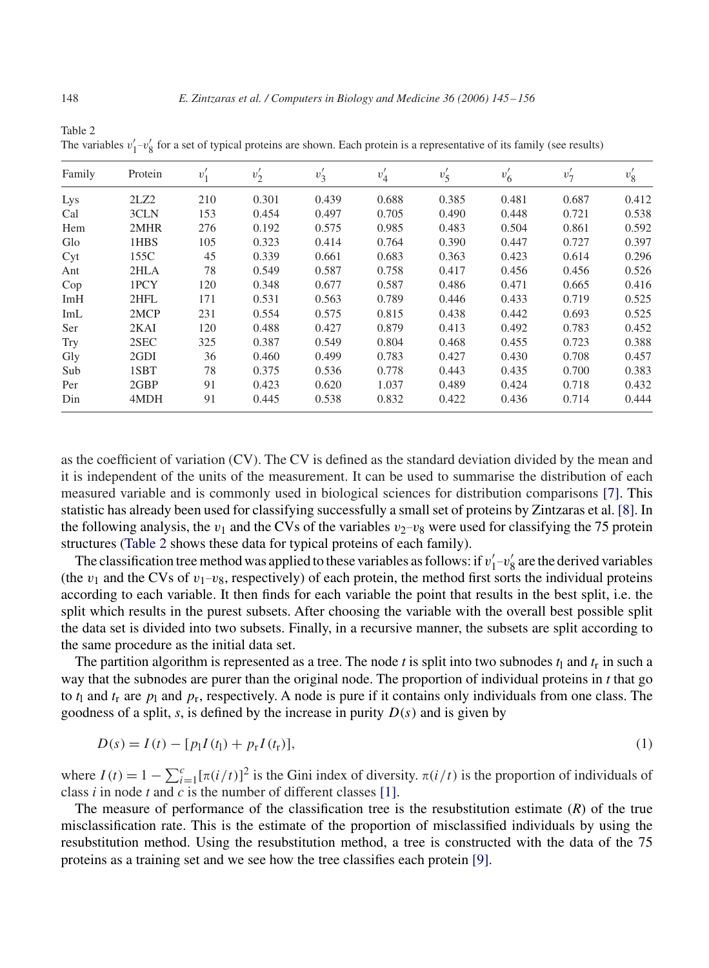|        | $\mathbf{r}$<br>$\circ$ |        |        |        |        |          |        |        |        |
|--------|-------------------------|--------|--------|--------|--------|----------|--------|--------|--------|
| Family | Protein                 | $v_1'$ | $v_2'$ | $v'_3$ | $v_4'$ | $v'_{5}$ | $v'_6$ | $v'_7$ | $v'_8$ |
| Lys    | 2LZ2                    | 210    | 0.301  | 0.439  | 0.688  | 0.385    | 0.481  | 0.687  | 0.412  |
| Cal    | 3CLN                    | 153    | 0.454  | 0.497  | 0.705  | 0.490    | 0.448  | 0.721  | 0.538  |
| Hem    | 2MHR                    | 276    | 0.192  | 0.575  | 0.985  | 0.483    | 0.504  | 0.861  | 0.592  |
| Glo    | 1HBS                    | 105    | 0.323  | 0.414  | 0.764  | 0.390    | 0.447  | 0.727  | 0.397  |
| Cyt    | 155C                    | 45     | 0.339  | 0.661  | 0.683  | 0.363    | 0.423  | 0.614  | 0.296  |
| Ant    | 2HLA                    | 78     | 0.549  | 0.587  | 0.758  | 0.417    | 0.456  | 0.456  | 0.526  |
| Cop    | 1PCY                    | 120    | 0.348  | 0.677  | 0.587  | 0.486    | 0.471  | 0.665  | 0.416  |
| ImH    | 2HFL                    | 171    | 0.531  | 0.563  | 0.789  | 0.446    | 0.433  | 0.719  | 0.525  |
| ImL    | 2MCP                    | 231    | 0.554  | 0.575  | 0.815  | 0.438    | 0.442  | 0.693  | 0.525  |
| Ser    | 2KAI                    | 120    | 0.488  | 0.427  | 0.879  | 0.413    | 0.492  | 0.783  | 0.452  |
| Try    | 2SEC                    | 325    | 0.387  | 0.549  | 0.804  | 0.468    | 0.455  | 0.723  | 0.388  |
| Gly    | 2GDI                    | 36     | 0.460  | 0.499  | 0.783  | 0.427    | 0.430  | 0.708  | 0.457  |
| Sub    | 1SBT                    | 78     | 0.375  | 0.536  | 0.778  | 0.443    | 0.435  | 0.700  | 0.383  |
| Per    | 2GBP                    | 91     | 0.423  | 0.620  | 1.037  | 0.489    | 0.424  | 0.718  | 0.432  |
| Din    | 4MDH                    | 91     | 0.445  | 0.538  | 0.832  | 0.422    | 0.436  | 0.714  | 0.444  |

The variables  $v'_1-v'_8$  for a set of typical proteins are shown. Each protein is a representative of its family (see results)

as the coefficient of variation (CV). The CV is defined as the standard deviation divided by the mean and it is independent of the units of the measurement. It can be used to summarise the distribution of each measured variable and is commonly used in biological sciences for distribution comparisons [\[7\].](#page-10-0) This statistic has already been used for classifying successfully a small set of proteins by Zintzaras et al. [\[8\].](#page-10-0) In the following analysis, the  $v_1$  and the CVs of the variables  $v_2-v_8$  were used for classifying the 75 protein structures (Table 2 shows these data for typical proteins of each family).

The classification tree method was applied to these variables as follows: if  $v'_1-v'_8$  are the derived variables (the  $v_1$  and the CVs of  $v_1-v_8$ , respectively) of each protein, the method first sorts the individual proteins according to each variable. It then finds for each variable the point that results in the best split, i.e. the split which results in the purest subsets. After choosing the variable with the overall best possible split the data set is divided into two subsets. Finally, in a recursive manner, the subsets are split according to the same procedure as the initial data set.

The partition algorithm is represented as a tree. The node *t* is split into two subnodes  $t_1$  and  $t_r$  in such a way that the subnodes are purer than the original node. The proportion of individual proteins in *t* that go to  $t_1$  and  $t_r$  are  $p_1$  and  $p_r$ , respectively. A node is pure if it contains only individuals from one class. The goodness of a split,  $s$ , is defined by the increase in purity  $D(s)$  and is given by

$$
D(s) = I(t) - [p_1 I(t_1) + p_r I(t_r)],
$$
\n(1)

where  $I(t) = 1 - \sum_{i=1}^{c} [\pi(i/t)]^2$  is the Gini index of diversity.  $\pi(i/t)$  is the proportion of individuals of class *i* in node *t* and *c* is the number of different classes [\[1\].](#page-10-0)

The measure of performance of the classification tree is the resubstitution estimate (*R*) of the true misclassification rate. This is the estimate of the proportion of misclassified individuals by using the resubstitution method. Using the resubstitution method, a tree is constructed with the data of the 75 proteins as a training set and we see how the tree classifies each protein [\[9\].](#page-10-0)

Table 2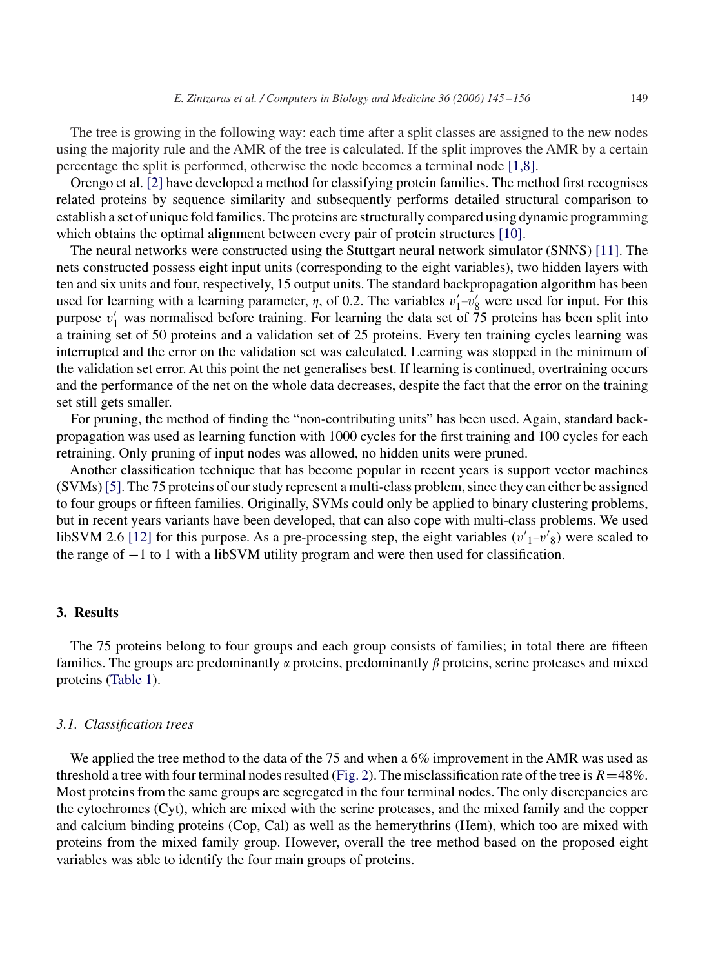The tree is growing in the following way: each time after a split classes are assigned to the new nodes using the majority rule and the AMR of the tree is calculated. If the split improves the AMR by a certain percentage the split is performed, otherwise the node becomes a terminal node [1,8].

Orengo et al. [\[2\]](#page-10-0) have developed a method for classifying protein families. The method first recognises related proteins by sequence similarity and subsequently performs detailed structural comparison to establish a set of unique fold families. The proteins are structurally compared using dynamic programming which obtains the optimal alignment between every pair of protein structures [\[10\].](#page-10-0)

The neural networks were constructed using the Stuttgart neural network simulator (SNNS) [\[11\].](#page-10-0) The nets constructed possess eight input units (corresponding to the eight variables), two hidden layers with ten and six units and four, respectively, 15 output units. The standard backpropagation algorithm has been used for learning with a learning parameter,  $\eta$ , of 0.2. The variables  $v'_1-v'_8$  were used for input. For this purpose  $v_1'$  was normalised before training. For learning the data set of 75 proteins has been split into a training set of 50 proteins and a validation set of 25 proteins. Every ten training cycles learning was interrupted and the error on the validation set was calculated. Learning was stopped in the minimum of the validation set error. At this point the net generalises best. If learning is continued, overtraining occurs and the performance of the net on the whole data decreases, despite the fact that the error on the training set still gets smaller.

For pruning, the method of finding the "non-contributing units" has been used. Again, standard backpropagation was used as learning function with 1000 cycles for the first training and 100 cycles for each retraining. Only pruning of input nodes was allowed, no hidden units were pruned.

Another classification technique that has become popular in recent years is support vector machines (SVMs)[\[5\].](#page-10-0) The 75 proteins of our study represent a multi-class problem, since they can either be assigned to four groups or fifteen families. Originally, SVMs could only be applied to binary clustering problems, but in recent years variants have been developed, that can also cope with multi-class problems. We used libSVM 2.6 [\[12\]](#page-10-0) for this purpose. As a pre-processing step, the eight variables  $(v'_1-v'_8)$  were scaled to the range of −1 to 1 with a libSVM utility program and were then used for classification.

### **3. Results**

The 75 proteins belong to four groups and each group consists of families; in total there are fifteen families. The groups are predominantly  $\alpha$  proteins, predominantly  $\beta$  proteins, serine proteases and mixed proteins [\(Table 1\)](#page-1-0).

### *3.1. Classification trees*

We applied the tree method to the data of the 75 and when a 6% improvement in the AMR was used as threshold a tree with four terminal nodes resulted [\(Fig. 2\)](#page-5-0). The misclassification rate of the tree is  $R=48\%$ . Most proteins from the same groups are segregated in the four terminal nodes. The only discrepancies are the cytochromes (Cyt), which are mixed with the serine proteases, and the mixed family and the copper and calcium binding proteins (Cop, Cal) as well as the hemerythrins (Hem), which too are mixed with proteins from the mixed family group. However, overall the tree method based on the proposed eight variables was able to identify the four main groups of proteins.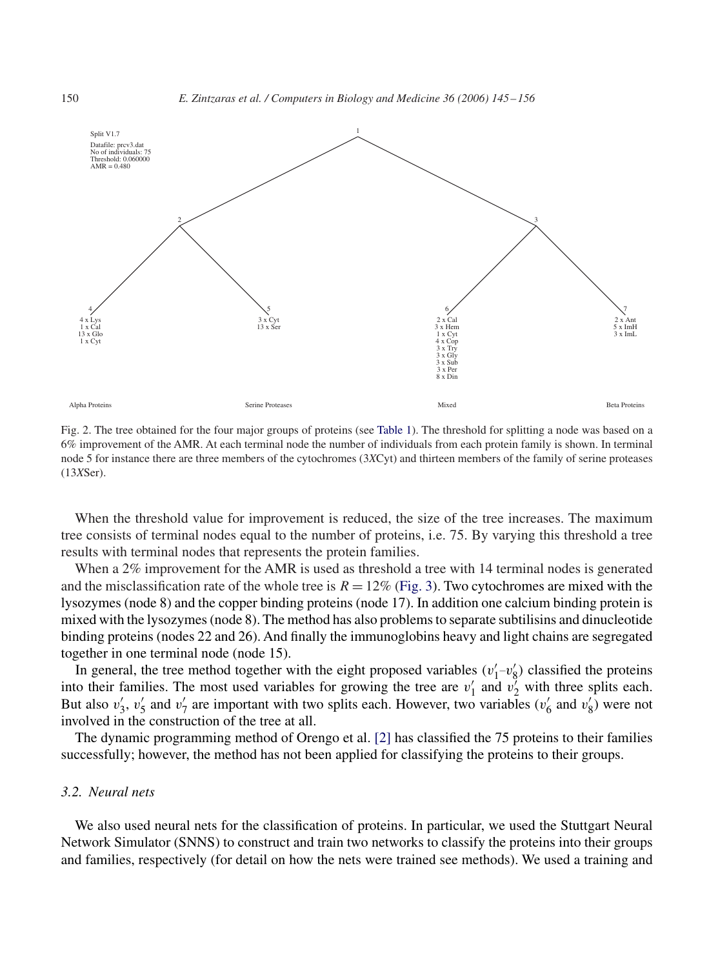

Fig. 2. The tree obtained for the four major groups of proteins (see [Table 1\)](#page-1-0). The threshold for splitting a node was based on a 6% improvement of the AMR. At each terminal node the number of individuals from each protein family is shown. In terminal node 5 for instance there are three members of the cytochromes (3*X*Cyt) and thirteen members of the family of serine proteases (13*X*Ser).

When the threshold value for improvement is reduced, the size of the tree increases. The maximum tree consists of terminal nodes equal to the number of proteins, i.e. 75. By varying this threshold a tree results with terminal nodes that represents the protein families.

When a 2% improvement for the AMR is used as threshold a tree with 14 terminal nodes is generated and the misclassification rate of the whole tree is  $R = 12\%$  [\(Fig. 3\)](#page-6-0). Two cytochromes are mixed with the lysozymes (node 8) and the copper binding proteins (node 17). In addition one calcium binding protein is mixed with the lysozymes (node 8). The method has also problems to separate subtilisins and dinucleotide binding proteins (nodes 22 and 26). And finally the immunoglobins heavy and light chains are segregated together in one terminal node (node 15).

In general, the tree method together with the eight proposed variables  $(v'_1-v'_8)$  classified the proteins into their families. The most used variables for growing the tree are  $v'_1$  and  $v'_2$  with three splits each. But also  $v'_3$ ,  $v'_5$  and  $v'_7$  are important with two splits each. However, two variables  $(v'_6$  and  $v'_8)$  were not involved in the construction of the tree at all.

The dynamic programming method of Orengo et al. [\[2\]](#page-10-0) has classified the 75 proteins to their families successfully; however, the method has not been applied for classifying the proteins to their groups.

# *3.2. Neural nets*

We also used neural nets for the classification of proteins. In particular, we used the Stuttgart Neural Network Simulator (SNNS) to construct and train two networks to classify the proteins into their groups and families, respectively (for detail on how the nets were trained see methods). We used a training and

<span id="page-5-0"></span>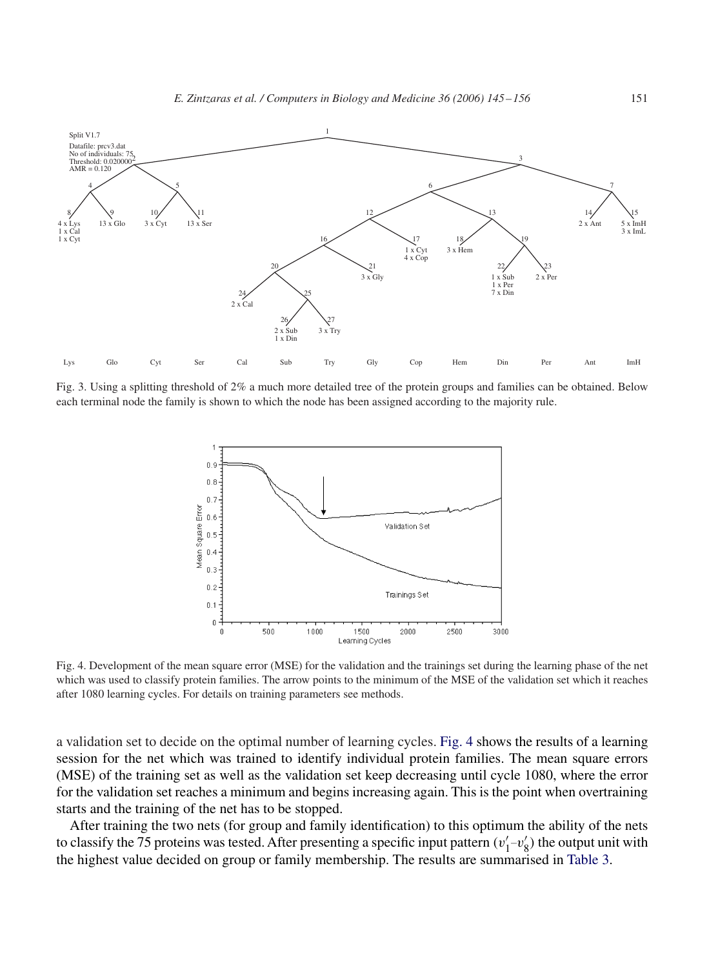<span id="page-6-0"></span>

Fig. 3. Using a splitting threshold of 2% a much more detailed tree of the protein groups and families can be obtained. Below each terminal node the family is shown to which the node has been assigned according to the majority rule.



Fig. 4. Development of the mean square error (MSE) for the validation and the trainings set during the learning phase of the net which was used to classify protein families. The arrow points to the minimum of the MSE of the validation set which it reaches after 1080 learning cycles. For details on training parameters see methods.

a validation set to decide on the optimal number of learning cycles. Fig. 4 shows the results of a learning session for the net which was trained to identify individual protein families. The mean square errors (MSE) of the training set as well as the validation set keep decreasing until cycle 1080, where the error for the validation set reaches a minimum and begins increasing again. This is the point when overtraining starts and the training of the net has to be stopped.

After training the two nets (for group and family identification) to this optimum the ability of the nets to classify the 75 proteins was tested. After presenting a specific input pattern  $(v'_1-v'_8)$  the output unit with the highest value decided on group or family membership. The results are summarised in [Table 3.](#page-7-0)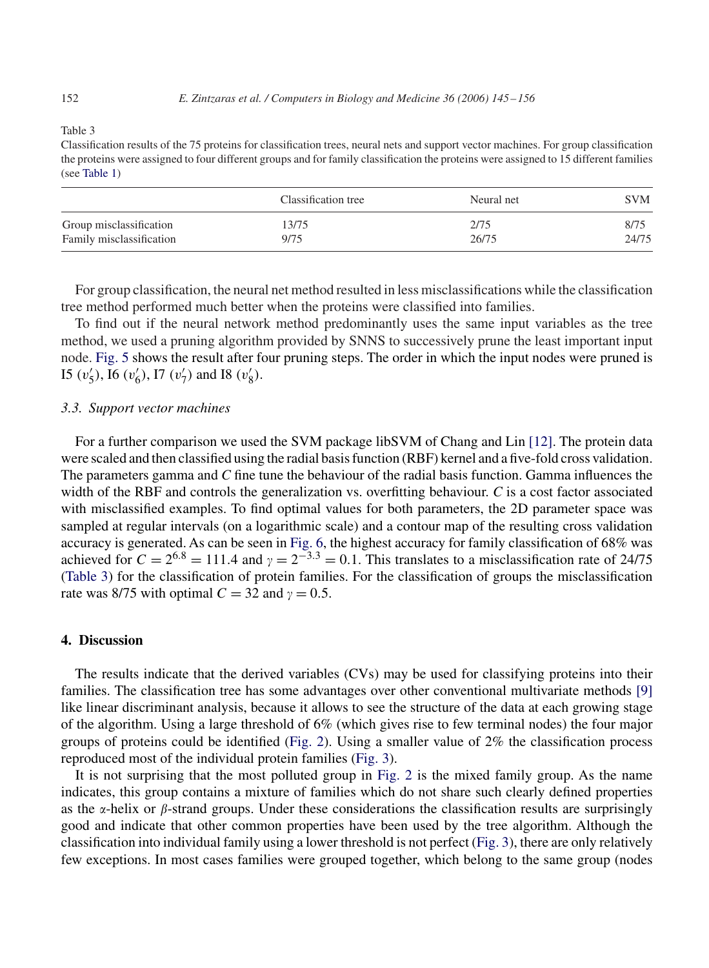<span id="page-7-0"></span>Classification results of the 75 proteins for classification trees, neural nets and support vector machines. For group classification the proteins were assigned to four different groups and for family classification the proteins were assigned to 15 different families (see [Table 1\)](#page-1-0)

|                          | Classification tree | Neural net | SVM   |
|--------------------------|---------------------|------------|-------|
| Group misclassification  | 13/75               | 2/75       | 8/75  |
| Family misclassification | 9/75                | 26/75      | 24/75 |

For group classification, the neural net method resulted in less misclassifications while the classification tree method performed much better when the proteins were classified into families.

To find out if the neural network method predominantly uses the same input variables as the tree method, we used a pruning algorithm provided by SNNS to successively prune the least important input node. [Fig. 5](#page-8-0) shows the result after four pruning steps. The order in which the input nodes were pruned is I5  $(v'_5)$ , I6  $(v'_6)$ , I7  $(v'_7)$  and I8  $(v'_8)$ .

## *3.3. Support vector machines*

For a further comparison we used the SVM package libSVM of Chang and Lin [\[12\].](#page-10-0) The protein data were scaled and then classified using the radial basis function (RBF) kernel and a five-fold cross validation. The parameters gamma and *C* fine tune the behaviour of the radial basis function. Gamma influences the width of the RBF and controls the generalization vs. overfitting behaviour. *C* is a cost factor associated with misclassified examples. To find optimal values for both parameters, the 2D parameter space was sampled at regular intervals (on a logarithmic scale) and a contour map of the resulting cross validation accuracy is generated. As can be seen in [Fig. 6,](#page-9-0) the highest accuracy for family classification of 68% was achieved for  $C = 2^{6.8} = 111.4$  and  $\gamma = 2^{-3.3} = 0.1$ . This translates to a misclassification rate of 24/75 (Table 3) for the classification of protein families. For the classification of groups the misclassification rate was 8/75 with optimal  $C = 32$  and  $\gamma = 0.5$ .

## **4. Discussion**

The results indicate that the derived variables (CVs) may be used for classifying proteins into their families. The classification tree has some advantages over other conventional multivariate methods [\[9\]](#page-10-0) like linear discriminant analysis, because it allows to see the structure of the data at each growing stage of the algorithm. Using a large threshold of 6% (which gives rise to few terminal nodes) the four major groups of proteins could be identified [\(Fig. 2\)](#page-5-0). Using a smaller value of 2% the classification process reproduced most of the individual protein families [\(Fig. 3\)](#page-6-0).

It is not surprising that the most polluted group in [Fig. 2](#page-5-0) is the mixed family group. As the name indicates, this group contains a mixture of families which do not share such clearly defined properties as the  $\alpha$ -helix or  $\beta$ -strand groups. Under these considerations the classification results are surprisingly good and indicate that other common properties have been used by the tree algorithm. Although the classification into individual family using a lower threshold is not perfect [\(Fig. 3\)](#page-6-0), there are only relatively few exceptions. In most cases families were grouped together, which belong to the same group (nodes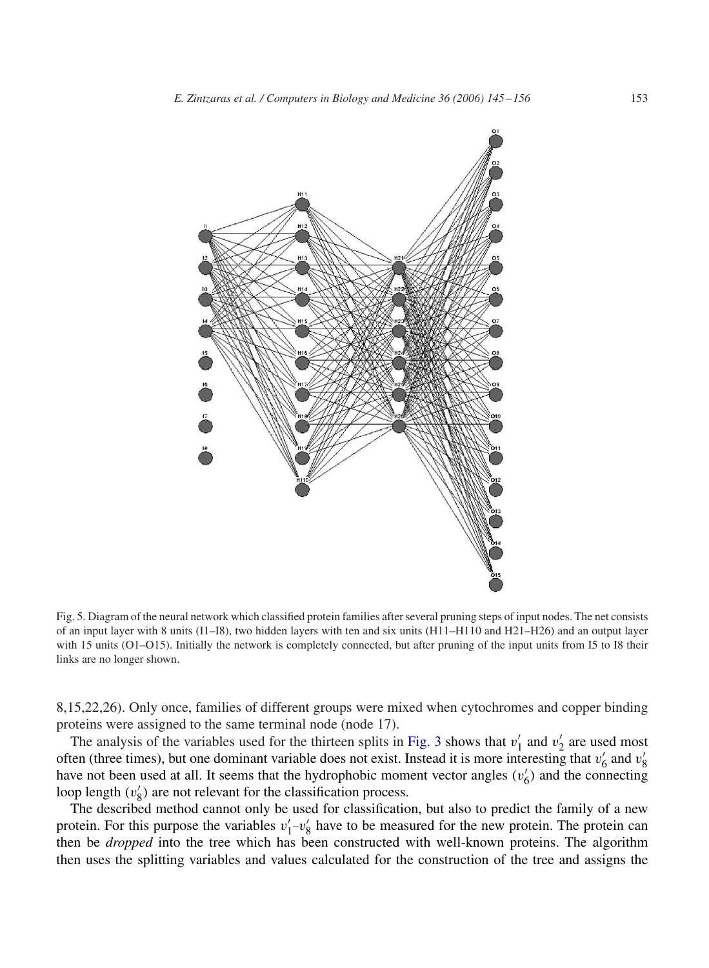<span id="page-8-0"></span>

Fig. 5. Diagram of the neural network which classified protein families after several pruning steps of input nodes. The net consists of an input layer with 8 units (I1–I8), two hidden layers with ten and six units (H11–H110 and H21–H26) and an output layer with 15 units (O1–O15). Initially the network is completely connected, but after pruning of the input units from I5 to I8 their links are no longer shown.

8,15,22,26). Only once, families of different groups were mixed when cytochromes and copper binding proteins were assigned to the same terminal node (node 17).

The analysis of the variables used for the thirteen splits in [Fig. 3](#page-6-0) shows that  $v'_1$  and  $v'_2$  are used most often (three times), but one dominant variable does not exist. Instead it is more interesting that  $v'_6$  and  $v'_8$ have not been used at all. It seems that the hydrophobic moment vector angles  $(v'_6)$  and the connecting loop length  $(v'_8)$  are not relevant for the classification process.

The described method cannot only be used for classification, but also to predict the family of a new protein. For this purpose the variables  $v'_1-v'_8$  have to be measured for the new protein. The protein can then be *dropped* into the tree which has been constructed with well-known proteins. The algorithm then uses the splitting variables and values calculated for the construction of the tree and assigns the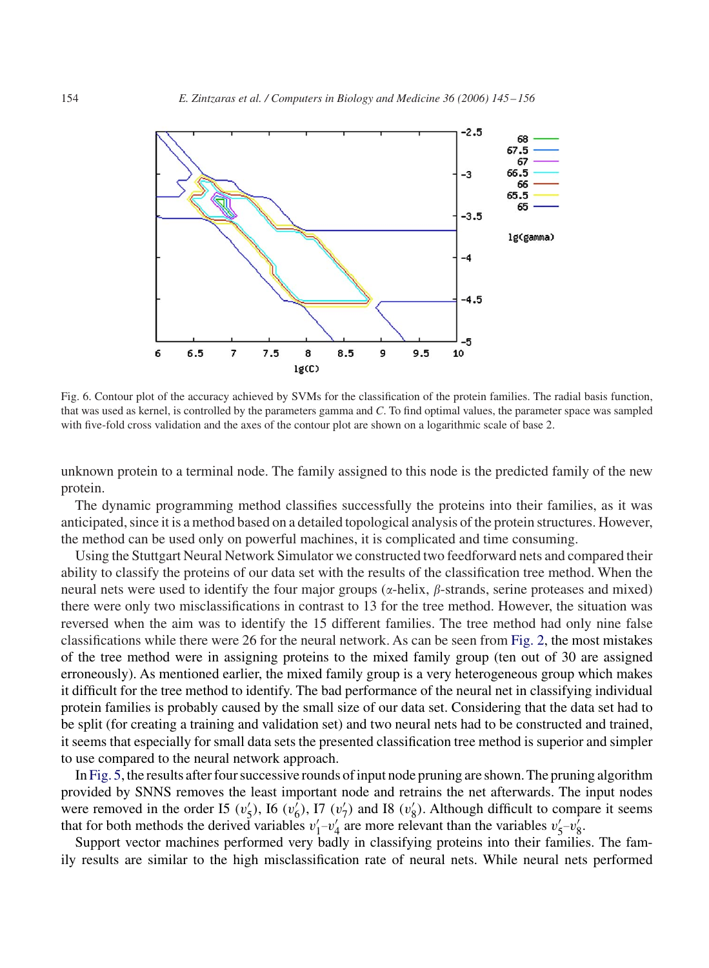<span id="page-9-0"></span>

Fig. 6. Contour plot of the accuracy achieved by SVMs for the classification of the protein families. The radial basis function, that was used as kernel, is controlled by the parameters gamma and *C*. To find optimal values, the parameter space was sampled with five-fold cross validation and the axes of the contour plot are shown on a logarithmic scale of base 2.

unknown protein to a terminal node. The family assigned to this node is the predicted family of the new protein.

The dynamic programming method classifies successfully the proteins into their families, as it was anticipated, since it is a method based on a detailed topological analysis of the protein structures. However, the method can be used only on powerful machines, it is complicated and time consuming.

Using the Stuttgart Neural Network Simulator we constructed two feedforward nets and compared their ability to classify the proteins of our data set with the results of the classification tree method. When the neural nets were used to identify the four major groups ( $\alpha$ -helix,  $\beta$ -strands, serine proteases and mixed) there were only two misclassifications in contrast to 13 for the tree method. However, the situation was reversed when the aim was to identify the 15 different families. The tree method had only nine false classifications while there were 26 for the neural network. As can be seen from [Fig. 2,](#page-5-0) the most mistakes of the tree method were in assigning proteins to the mixed family group (ten out of 30 are assigned erroneously). As mentioned earlier, the mixed family group is a very heterogeneous group which makes it difficult for the tree method to identify. The bad performance of the neural net in classifying individual protein families is probably caused by the small size of our data set. Considering that the data set had to be split (for creating a training and validation set) and two neural nets had to be constructed and trained, it seems that especially for small data sets the presented classification tree method is superior and simpler to use compared to the neural network approach.

In [Fig. 5,](#page-8-0) the results after four successive rounds of input node pruning are shown. The pruning algorithm provided by SNNS removes the least important node and retrains the net afterwards. The input nodes were removed in the order I5  $(v'_5)$ , I6  $(v'_6)$ , I7  $(v'_7)$  and I8  $(v'_8)$ . Although difficult to compare it seems that for both methods the derived variables  $v'_1-v'_4$  are more relevant than the variables  $v'_5-v'_8$ .

Support vector machines performed very badly in classifying proteins into their families. The family results are similar to the high misclassification rate of neural nets. While neural nets performed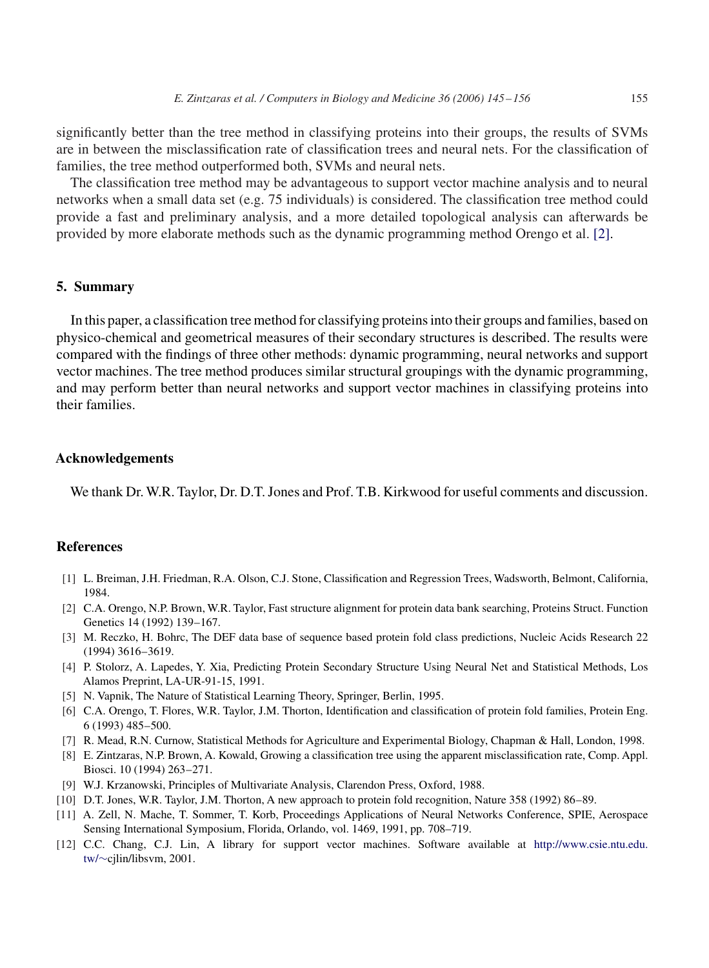<span id="page-10-0"></span>significantly better than the tree method in classifying proteins into their groups, the results of SVMs are in between the misclassification rate of classification trees and neural nets. For the classification of families, the tree method outperformed both, SVMs and neural nets.

The classification tree method may be advantageous to support vector machine analysis and to neural networks when a small data set (e.g. 75 individuals) is considered. The classification tree method could provide a fast and preliminary analysis, and a more detailed topological analysis can afterwards be provided by more elaborate methods such as the dynamic programming method Orengo et al. [2].

### **5. Summary**

In this paper, a classification tree method for classifying proteins into their groups and families, based on physico-chemical and geometrical measures of their secondary structures is described. The results were compared with the findings of three other methods: dynamic programming, neural networks and support vector machines. The tree method produces similar structural groupings with the dynamic programming, and may perform better than neural networks and support vector machines in classifying proteins into their families.

### **Acknowledgements**

We thank Dr. W.R. Taylor, Dr. D.T. Jones and Prof. T.B. Kirkwood for useful comments and discussion.

# **References**

- [1] L. Breiman, J.H. Friedman, R.A. Olson, C.J. Stone, Classification and Regression Trees, Wadsworth, Belmont, California, 1984.
- [2] C.A. Orengo, N.P. Brown, W.R. Taylor, Fast structure alignment for protein data bank searching, Proteins Struct. Function Genetics 14 (1992) 139–167.
- [3] M. Reczko, H. Bohrc, The DEF data base of sequence based protein fold class predictions, Nucleic Acids Research 22 (1994) 3616–3619.
- [4] P. Stolorz, A. Lapedes, Y. Xia, Predicting Protein Secondary Structure Using Neural Net and Statistical Methods, Los Alamos Preprint, LA-UR-91-15, 1991.
- [5] N. Vapnik, The Nature of Statistical Learning Theory, Springer, Berlin, 1995.
- [6] C.A. Orengo, T. Flores, W.R. Taylor, J.M. Thorton, Identification and classification of protein fold families, Protein Eng. 6 (1993) 485–500.
- [7] R. Mead, R.N. Curnow, Statistical Methods for Agriculture and Experimental Biology, Chapman & Hall, London, 1998.
- [8] E. Zintzaras, N.P. Brown, A. Kowald, Growing a classification tree using the apparent misclassification rate, Comp. Appl. Biosci. 10 (1994) 263–271.
- [9] W.J. Krzanowski, Principles of Multivariate Analysis, Clarendon Press, Oxford, 1988.
- [10] D.T. Jones, W.R. Taylor, J.M. Thorton, A new approach to protein fold recognition, Nature 358 (1992) 86–89.
- [11] A. Zell, N. Mache, T. Sommer, T. Korb, Proceedings Applications of Neural Networks Conference, SPIE, Aerospace Sensing International Symposium, Florida, Orlando, vol. 1469, 1991, pp. 708–719.
- [12] C.C. Chang, C.J. Lin, A library for support vector machines. Software available at <http://www.csie.ntu.edu.> [tw/](#page-0-0)∼cjlin/libsvm, 2001.